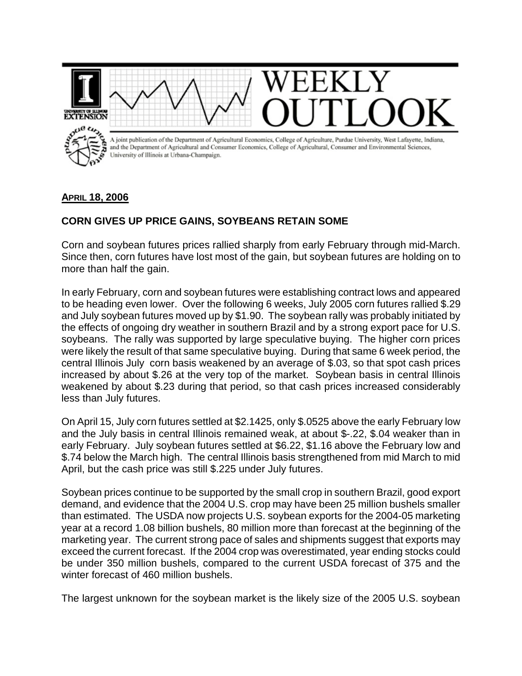

## **APRIL 18, 2006**

## **CORN GIVES UP PRICE GAINS, SOYBEANS RETAIN SOME**

Corn and soybean futures prices rallied sharply from early February through mid-March. Since then, corn futures have lost most of the gain, but soybean futures are holding on to more than half the gain.

In early February, corn and soybean futures were establishing contract lows and appeared to be heading even lower. Over the following 6 weeks, July 2005 corn futures rallied \$.29 and July soybean futures moved up by \$1.90. The soybean rally was probably initiated by the effects of ongoing dry weather in southern Brazil and by a strong export pace for U.S. soybeans. The rally was supported by large speculative buying. The higher corn prices were likely the result of that same speculative buying. During that same 6 week period, the central Illinois July corn basis weakened by an average of \$.03, so that spot cash prices increased by about \$.26 at the very top of the market. Soybean basis in central Illinois weakened by about \$.23 during that period, so that cash prices increased considerably less than July futures.

On April 15, July corn futures settled at \$2.1425, only \$.0525 above the early February low and the July basis in central Illinois remained weak, at about \$-.22, \$.04 weaker than in early February. July soybean futures settled at \$6.22, \$1.16 above the February low and \$.74 below the March high. The central Illinois basis strengthened from mid March to mid April, but the cash price was still \$.225 under July futures.

Soybean prices continue to be supported by the small crop in southern Brazil, good export demand, and evidence that the 2004 U.S. crop may have been 25 million bushels smaller than estimated. The USDA now projects U.S. soybean exports for the 2004-05 marketing year at a record 1.08 billion bushels, 80 million more than forecast at the beginning of the marketing year. The current strong pace of sales and shipments suggest that exports may exceed the current forecast. If the 2004 crop was overestimated, year ending stocks could be under 350 million bushels, compared to the current USDA forecast of 375 and the winter forecast of 460 million bushels.

The largest unknown for the soybean market is the likely size of the 2005 U.S. soybean